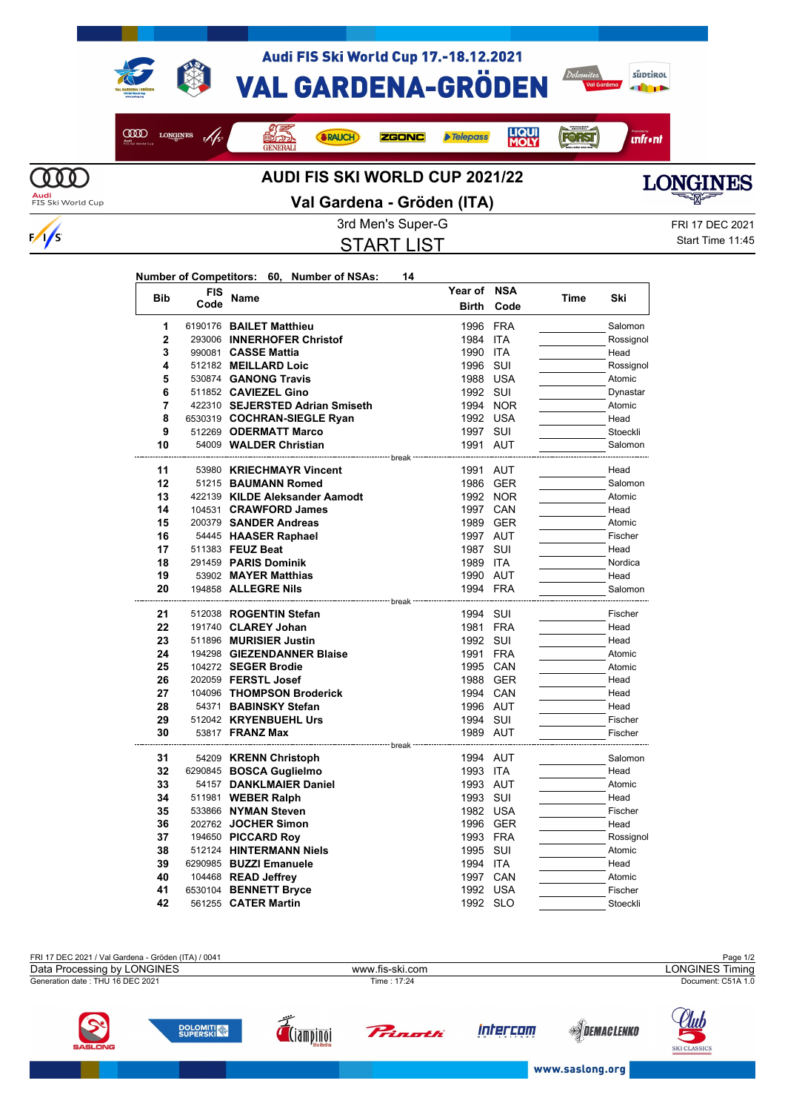

COOD LONGINES F/S

Audi FIS Ski World Cup 17.-18.12.2021 **VAL GARDENA-GRÖDEN** 

**ZGONC** 



*<u>infront</u>* 

**FORST** 

**LIQUI**<br>MOLY

**Telepass** 



## **AUDI FIS SKI WORLD CUP 2021/22**

**SRAUCH** 



**Audi**<br>FIS Ski World Cup

 $\frac{1}{s}$ 

**Val Gardena - Gröden (ITA)**

START LIST

3rd Men's Super-G FRI 17 DEC 2021 Start Time 11:45

| Number of Competitors: 60, Number of NSAs: |  | 14 |
|--------------------------------------------|--|----|
| FIS                                        |  |    |

**OFFICIAL** 

| <b>Bib</b>     | <b>FIS</b> | <b>Name</b>                                        | Year of NSA          |            | Time | Ski             |
|----------------|------------|----------------------------------------------------|----------------------|------------|------|-----------------|
|                | Code       |                                                    | <b>Birth</b>         | Code       |      |                 |
| 1              |            | 6190176 BAILET Matthieu                            | 1996 FRA             |            |      | Salomon         |
| $\overline{2}$ |            | 293006 INNERHOFER Christof                         | 1984 ITA             |            |      | Rossignol       |
| 3              |            | 990081 CASSE Mattia                                | 1990                 | <b>ITA</b> |      | Head            |
| 4              |            | 512182 MEILLARD Loic                               | 1996                 | SUI        |      | Rossignol       |
| 5              |            | 530874 GANONG Travis                               | 1988 USA             |            |      | Atomic          |
| 6              |            | 511852 CAVIEZEL Gino                               | 1992 SUI             |            |      | Dynastar        |
| 7              |            | 422310 SEJERSTED Adrian Smiseth                    |                      | 1994 NOR   |      | Atomic          |
| 8              |            | 6530319 COCHRAN-SIEGLE Ryan                        | 1992 USA             |            |      | Head            |
| 9              |            | 512269 ODERMATT Marco                              | 1997 SUI             |            |      | Stoeckli        |
| 10             |            | 54009 WALDER Christian                             | 1991 AUT             |            |      | Salomon         |
| 11             |            | 53980 KRIECHMAYR Vincent                           | 1991 AUT             |            |      | Head            |
| 12             |            | 51215 BAUMANN Romed                                |                      | 1986 GER   |      | Salomon         |
| 13             |            | 422139 KILDE Aleksander Aamodt                     |                      | 1992 NOR   |      | Atomic          |
| 14             |            | 104531 CRAWFORD James                              |                      | 1997 CAN   |      | Head            |
| 15             |            | 200379 SANDER Andreas                              |                      | 1989 GER   |      | Atomic          |
| 16             |            | 54445 HAASER Raphael                               | 1997 AUT             |            |      | Fischer         |
| 17             |            | 511383 FEUZ Beat                                   | 1987 SUI             |            |      | Head            |
| 18             |            | 291459 PARIS Dominik                               | 1989 ITA             |            |      | Nordica         |
| 19             |            | 53902 MAYER Matthias                               | 1990 AUT             |            |      | Head            |
| 20             |            | 194858 ALLEGRE Nils                                | 1994 FRA             |            |      | Salomon         |
|                |            | ------------------------- break <sup>.</sup>       |                      |            |      |                 |
| 21             |            | 512038 ROGENTIN Stefan                             | 1994 SUI             |            |      | Fischer         |
| 22             |            | 191740 CLAREY Johan                                | 1981 FRA             |            |      | Head            |
| 23             |            | 511896 MURISIER Justin                             | 1992 SUI             |            |      | Head            |
| 24             |            | 194298 GIEZENDANNER Blaise                         | 1991 FRA             |            |      | Atomic          |
| 25             |            | 104272 SEGER Brodie                                | 1995 CAN             |            |      | Atomic          |
| 26             |            | 202059 FERSTL Josef                                |                      | 1988 GER   |      | Head            |
| 27             |            | 104096 THOMPSON Broderick                          | 1994 CAN             |            |      | Head            |
| 28             |            | 54371 BABINSKY Stefan                              | 1996 AUT             |            |      | Head            |
| 29             |            | 512042 KRYENBUEHL Urs                              | 1994 SUI             |            |      | Fischer         |
| 30             |            | 53817 <b>FRANZ Max</b>                             | 1989 AUT             |            |      | Fischer         |
|                |            | ------------------ break ---                       |                      |            |      |                 |
| 31<br>32       |            | 54209 KRENN Christoph                              | 1994 AUT             |            |      | Salomon<br>Head |
| 33             |            | 6290845 BOSCA Guglielmo<br>54157 DANKLMAIER Daniel | 1993 ITA<br>1993 AUT |            |      | Atomic          |
| 34             |            | 511981 WEBER Ralph                                 | 1993 SUI             |            |      | Head            |
| 35             |            | 533866 NYMAN Steven                                | 1982 USA             |            |      | Fischer         |
| 36             |            | 202762 JOCHER Simon                                |                      | 1996 GER   |      | Head            |
| 37             |            | 194650 PICCARD Roy                                 | 1993 FRA             |            |      | Rossignol       |
| 38             |            | 512124 HINTERMANN Niels                            | 1995 SUI             |            |      | Atomic          |
| 39             |            | 6290985 BUZZI Emanuele                             | 1994 ITA             |            |      | Head            |
| 40             |            | 104468 READ Jeffrey                                | 1997 CAN             |            |      | Atomic          |
| 41             |            | 6530104 BENNETT Bryce                              | 1992 USA             |            |      | Fischer         |
| 42             |            | 561255 CATER Martin                                | 1992 SLO             |            |      | Stoeckli        |





Ы SKI CLASSICS